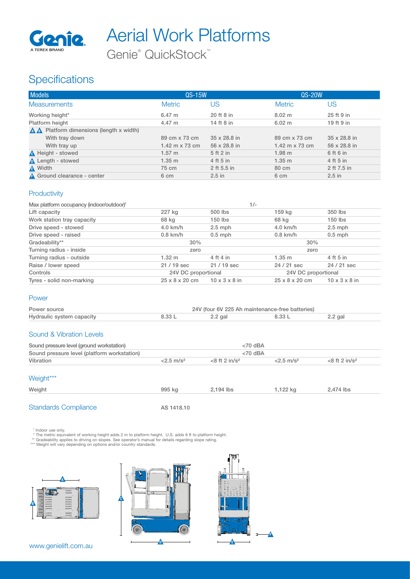

Aerial Work Platforms

Genie® QuickStock™

## **Specifications**

| <b>Models</b>                                             | QS-15W                |                     | <b>QS-20W</b>         |              |
|-----------------------------------------------------------|-----------------------|---------------------|-----------------------|--------------|
| <b>Measurements</b>                                       | <b>Metric</b>         | US                  | <b>Metric</b>         | US           |
| Working height*                                           | 6.47 m                | 20 ft 8 in          | $8.02 \; \mathrm{m}$  | 25 ft 9 in   |
| Platform height                                           | 4.47 m                | 14 ft 8 in          | 6.02 m                | 19 ft 9 in   |
| $\triangle$ <b>A</b> Platform dimensions (length x width) |                       |                     |                       |              |
| With tray down                                            | 89 cm x 73 cm         | $35 \times 28.8$ in | 89 cm x 73 cm         | 35 x 28.8 in |
| With tray up                                              | 1.42 m $\times$ 73 cm | 56 x 28.8 in        | 1.42 m $\times$ 73 cm | 56 x 28.8 in |
| <b>A</b> Height - stowed                                  | $1.57 \; m$           | 5 ft 2 in           | 1.98 <sub>m</sub>     | 6 ft 6 in    |
| <b>A</b> Length - stowed                                  | 1.35 m                | 4 ft 5 in           | 1.35 m                | 4 ft 5 in    |
| A Width                                                   | 75 cm                 | 2 ft 5.5 in         | 80 cm                 | 2 ft 7.5 in  |
| A Ground clearance - center                               | 6 cm                  | $2.5$ in            | 6 cm                  | $2.5$ in     |

#### **Productivity**

| Max platform occupancy (indoor/outdoor) <sup>1</sup> |                            |                           | $1/-$      |                            |                           |  |
|------------------------------------------------------|----------------------------|---------------------------|------------|----------------------------|---------------------------|--|
| Lift capacity                                        | 227 kg                     | 500 lbs                   | 159 kg     |                            | 350 lbs                   |  |
| Work station tray capacity                           | 68 kg                      | 150 lbs                   | 68 kg      |                            | 150 lbs                   |  |
| Drive speed - stowed                                 | 4.0 km/h                   | $2.5$ mph                 | $4.0$ km/h |                            | $2.5$ mph                 |  |
| Drive speed - raised                                 | $0.8$ km/h                 | $0.5$ mph                 | $0.8$ km/h |                            | $0.5$ mph                 |  |
| Gradeability**                                       | 30%                        |                           |            | 30%                        |                           |  |
| Turning radius - inside                              | zero                       |                           |            | zero                       |                           |  |
| Turning radius - outside                             | 1.32 m                     | 4 ft 4 in                 | 1.35 m     |                            | 4 ft 5 in                 |  |
| Raise / lower speed                                  | 21 / 19 sec                | $21/19$ sec               |            | 24 / 21 sec                | 24 / 21 sec               |  |
| Controls                                             | 24V DC proportional        |                           |            | 24V DC proportional        |                           |  |
| Tyres - solid non-marking                            | $25 \times 8 \times 20$ cm | $10 \times 3 \times 8$ in |            | $25 \times 8 \times 20$ cm | $10 \times 3 \times 8$ in |  |

#### Power

| Power source              | 24V (four 6V 225 Ah maintenance-free batteries) |         |  |           |
|---------------------------|-------------------------------------------------|---------|--|-----------|
| Hydraulic system capacity | 3.33 I                                          | 2.2 gal |  | $2.2$ gal |

#### Sound & Vibration Levels

| Sound pressure level (ground workstation)   | $<$ 70 dBA               |                              |                          |                             |
|---------------------------------------------|--------------------------|------------------------------|--------------------------|-----------------------------|
| Sound pressure level (platform workstation) | $<$ 70 dBA               |                              |                          |                             |
| Vibration                                   | $< 2.5$ m/s <sup>2</sup> | $<$ 8 ft 2 in/s <sup>2</sup> | $< 2.5$ m/s <sup>2</sup> | $<8$ ft 2 in/s <sup>2</sup> |
| Weight***                                   |                          |                              |                          |                             |

| Weight | aar | 194 lbs | $\sim$<br>K<br>- - - | 474 IDS |
|--------|-----|---------|----------------------|---------|
|        |     |         |                      |         |

F

 $\overline{a}$ 

#### Standards Compliance AS 1418.10

" Indoor use only.<br>\* The metric equivalent of working height adds 2 m to platform height. U.S. adds 6 ft to platform height.<br>\*\* Gradeability applies to driving on slopes. See operator's manual for details regarding slope r